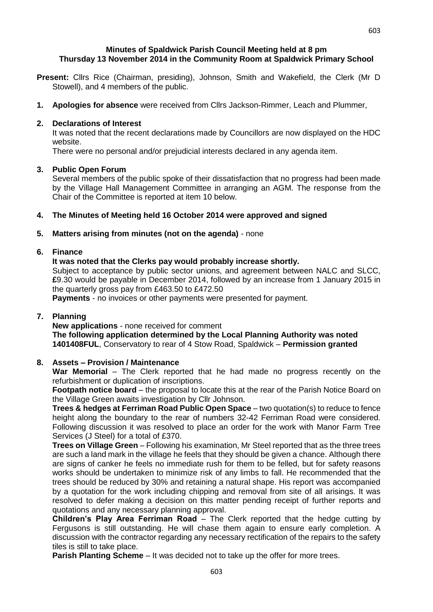- **Present:** Cllrs Rice (Chairman, presiding), Johnson, Smith and Wakefield, the Clerk (Mr D Stowell), and 4 members of the public.
- **1. Apologies for absence** were received from Cllrs Jackson-Rimmer, Leach and Plummer,

#### **2. Declarations of Interest**

It was noted that the recent declarations made by Councillors are now displayed on the HDC website.

There were no personal and/or prejudicial interests declared in any agenda item.

### **3. Public Open Forum**

Several members of the public spoke of their dissatisfaction that no progress had been made by the Village Hall Management Committee in arranging an AGM. The response from the Chair of the Committee is reported at item 10 below.

## **4. The Minutes of Meeting held 16 October 2014 were approved and signed**

### **5. Matters arising from minutes (not on the agenda)** - none

# **6. Finance**

### **It was noted that the Clerks pay would probably increase shortly.**

Subject to acceptance by public sector unions, and agreement between NALC and SLCC, **£**9.30 would be payable in December 2014, followed by an increase from 1 January 2015 in the quarterly gross pay from £463.50 to £472.50

**Payments** - no invoices or other payments were presented for payment.

#### **7. Planning**

**New applications** - none received for comment **The following application determined by the Local Planning Authority was noted 1401408FUL**, Conservatory to rear of 4 Stow Road, Spaldwick – **Permission granted**

## **8. Assets – Provision / Maintenance**

**War Memorial** – The Clerk reported that he had made no progress recently on the refurbishment or duplication of inscriptions.

**Footpath notice board** – the proposal to locate this at the rear of the Parish Notice Board on the Village Green awaits investigation by Cllr Johnson.

**Trees & hedges at Ferriman Road Public Open Space** – two quotation(s) to reduce to fence height along the boundary to the rear of numbers 32-42 Ferriman Road were considered. Following discussion it was resolved to place an order for the work with Manor Farm Tree Services (J Steel) for a total of £370.

**Trees on Village Green** – Following his examination, Mr Steel reported that as the three trees are such a land mark in the village he feels that they should be given a chance. Although there are signs of canker he feels no immediate rush for them to be felled, but for safety reasons works should be undertaken to minimize risk of any limbs to fall. He recommended that the trees should be reduced by 30% and retaining a natural shape. His report was accompanied by a quotation for the work including chipping and removal from site of all arisings. It was resolved to defer making a decision on this matter pending receipt of further reports and quotations and any necessary planning approval.

**Children's Play Area Ferriman Road** – The Clerk reported that the hedge cutting by Fergusons is still outstanding. He will chase them again to ensure early completion. A discussion with the contractor regarding any necessary rectification of the repairs to the safety tiles is still to take place.

**Parish Planting Scheme** – It was decided not to take up the offer for more trees.